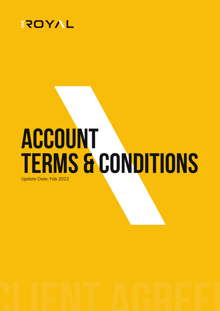

# **ACCOUNT TERMS & CONDITIONS** Update Date: Feb 2022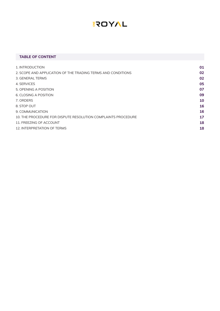### **TABLE OF CONTENT**

| 01 |
|----|
| 02 |
| 02 |
| 05 |
| 07 |
| 09 |
| 10 |
| 16 |
| 16 |
| 17 |
| 18 |
| 18 |
|    |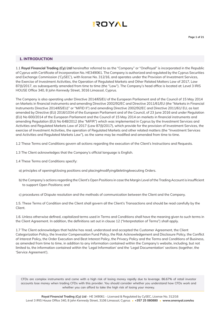

### **1. INTRODUCTION**

1.1 **Royal Financial Trading (Cy) Ltd** hereinafter referred to as the "Company" or "OneRoyal" is incorporated in the Republic of Cyprus with Certificate of Incorporation No. HE349061. The Company is authorized and regulated by the Cyprus Securities and Exchange Commission ('CySEC'), with license No. 312/16, and operates under the Provision of Investment Services, the Exercise of Investment Activities, the Operation of Regulated Markets and Other Related Matters Law of 2017, Law 87(I)/2017, as subsequently amended from time to time (the "Law"). The Company's head office is located at: Level 3 IRIS HOUSE Office 340, 8 John Kennedy Street, 3016 Limassol, Cyprus.

The Company is also operating under Directive 2014/65/EU of the European Parliament and of the Council of 15 May 2014 on Markets in financial instruments and amending Directive 2002/92/EC and Directive 2011/61/EU (the "Markets in Financial Instruments Directive 2014/65/EU)" or "MiFID II") and amending Directive 2002/92/EC and Directive 2011/61/ EU, as last amended by Directive (EU) 2016/1034 of the European Parliament and of the Council, of 23 June 2016 and under Regulation (EU) No 600/2014 of the European Parliament and the Council of 15 May 2014 on markets in financial instruments and amending Regulation (EU) No 648/2012 (the "MiFIR") which was implemented in Cyprus by the Investment Services and Activities and Regulated Markets Law of 2017 (Law 87(l)/2017), which provide for the provision of Investment Services, the exercise of Investment Activities, the operation of Regulated Markets and other related matters (the "Investment Services and Activities and Regulated Markets Law"), as the same may be modified and amended from time to time.

- 1.2 These Terms and Conditions govern all actions regarding the execution of the Client's Instructions and Requests.
- 1.3 The Client acknowledges that the Company's official language is English.
- 1.4 These Terms and Conditions specify:
	- a) principles of opening/closing positions and placing/modifying/deleting/executing Orders.
	- b) the Company's actions regarding the Client's Open Positions in case the Margin Level of the Trading Account is insufficient to support Open Positions; and
	- c) procedures of Dispute resolution and the methods of communication between the Client and the Company.

1.5. These Terms of Condition and the Client shall govern all the Client's Transactions and should be read carefully by the Client.

1.6. Unless otherwise defined, capitalized terms used in Terms and Conditions shall have the meaning given to such terms in the Client Agreement. In addition, the definitions set out in clause 12 ("Interpretation of Terms") shall apply.

1.7 The Client acknowledges that he/she has read, understood and accepted the Customer Agreement, the Client Categorization Policy, the Investor Compensation Fund Policy, the Risk Acknowledgement and Disclosure Policy, the Conflict of Interest Policy, the Order Execution and Best Interest Policy, the Privacy Policy and the Terms and Conditions of Business, as amended from time to time, in addition to any information contained within the Company's website, including, but not limited to, the information contained within the 'Legal Information' and the 'Legal Documentation' sections (together, the 'Service Agreement').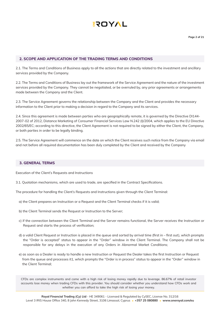

### **2. SCOPE AND APPLICATION OF THE TRADING TERMS AND CONDITIONS**

2.1. The Terms and Conditions of Business apply to all the actions that are directly related to the investment and ancillary services provided by the Company.

2.2. The Terms and Conditions of Business lay out the framework of the Service Agreement and the nature of the investment services provided by the Company. They cannot be negotiated, or be overruled by, any prior agreements or arrangements made between the Company and the Client.

2.3. The Service Agreement governs the relationship between the Company and the Client and provides the necessary information to the Client prior to making a decision in regard to the Company and its services.

2.4. Since this agreement is made between parties who are geographically remote, it is governed by the Directive DI144- 2007-02 of 2012, Distance Marketing of Consumer Financial Services Law N.242 (I)/2004, which applies to the EU Directive 2002/65/EC; according to this directive, the Client Agreement is not required to be signed by either the Client, the Company, or both parties in order to be legally binding.

2.5. The Service Agreement will commence on the date on which the Client receives such notice from the Company via email and not before all required documentation has been duly completed by the Client and received by the Company

### **3. GENERAL TERMS**

Execution of the Client's Requests and Instructions

3.1. Quotation mechanisms, which are used to trade, are specified in the Contract Specifications.

The procedure for handling the Client's Requests and Instructions given through the Client Terminal:

- a) the Client prepares an Instruction or a Request and the Client Terminal checks if it is valid;
- b) the Client Terminal sends the Request or Instruction to the Server;
- c) if the connection between the Client Terminal and the Server remains functional, the Server receives the Instruction or Request and starts the process of verification;
- d) a valid Client Request or Instruction is placed in the queue and sorted by arrival time (first in first out), which prompts the "Order is accepted" status to appear in the "Order" window in the Client Terminal. The Company shall not be responsible for any delays in the execution of any Orders in Abnormal Market Conditions;
- e) as soon as a Dealer is ready to handle a new Instruction or Request the Dealer takes the first Instruction or Request from the queue and processes it1, which prompts the "Order is in process" status to appear in the "Order" window in the Client Terminal;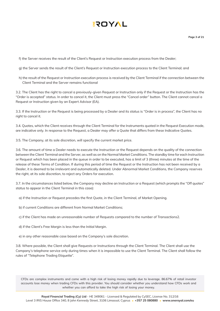f) the Server receives the result of the Client's Request or Instruction execution process from the Dealer;

- g) the Server sends the result of the Client's Request or Instruction execution process to the Client Terminal; and
- h) the result of the Request or Instruction execution process is received by the Client Terminal if the connection between the Client Terminal and the Server remains functional

3.2. The Client has the right to cancel a previously-given Request or Instruction only if the Request or the Instruction has the "Order is accepted" status. In order to cancel it, the Client must press the "Cancel order" button. The Client cannot cancel a Request or Instruction given by an Expert Advisor (EA).

3.3. If the Instruction or the Request is being processed by a Dealer and its status is "Order is in process", the Client has no right to cancel it.

3.4. Quotes, which the Client receives through the Client Terminal for the Instruments quoted in the Request Execution mode, are indicative only. In response to the Request, a Dealer may offer a Quote that differs from these Indicative Quotes.

3.5. The Company, at its sole discretion, will specify the current market price.

3.6. The amount of time a Dealer needs to execute the Instruction or the Request depends on the quality of the connection between the Client Terminal and the Server, as well as on the Normal Market Conditions. The standby time for each Instruction or Request which has been placed in the queue in order to be executed, has a limit of 3 (three) minutes at the time of the release of these Terms of Condition. If during this period of time the Request or the Instruction has not been received by a Dealer, it is deemed to be irrelevant and automatically deleted. Under Abnormal Market Conditions, the Company reserves the right, at its sole discretion, to reject any Orders for execution.

3.7. In the circumstances listed below, the Company may decline an Instruction or a Request (which prompts the "Off quotes" status to appear in the Client Terminal in this case):

a) if the Instruction or Request precedes the first Quote, in the Client Terminal, of Market Opening.

- b) if current Conditions are different from Normal Market Conditions;
- c) if the Client has made an unreasonable number of Requests compared to the number of Transactions2.
- d) if the Client's Free Margin is less than the Initial Margin.
- e) in any other reasonable case based on the Company's sole discretion.

3.8. Where possible, the Client shall give Requests or Instructions through the Client Terminal. The Client shall use the Company's telephone service only during times when it is impossible to use the Client Terminal. The Client shall follow the rules of "Telephone Trading Etiquette".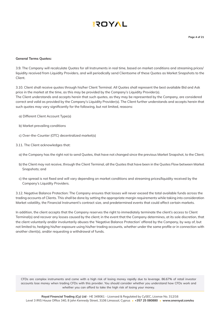#### **General Terms Quotes:**

3.9. The Company will recalculate Quotes for all Instruments in real time, based on market conditions and streaming prices/ liquidity received from Liquidity Providers, and will periodically send Clientsome of these Quotes as Market Snapshots to the Client.

3.10. Client shall receive quotes through his/her Client Terminal. All Quotes shall represent the best available Bid and Ask price in the market at the time, as this may be provided by the Company's Liquidity Provider(s).

The Client understands and accepts herein that such quotes, as they may be represented by the Company, are considered correct and valid as provided by the Company's Liquidity Provider(s). The Client further understands and accepts herein that such quotes may vary significantly for the following, but not limited, reasons:

- a) Different Client Account Type(s)
- b) Market prevailing conditions
- c) Over-the-Counter (OTC) decentralized market(s)
- 3.11. The Client acknowledges that:
	- a) the Company has the right not to send Quotes, that have not changed since the previous Market Snapshot, to the Client;
	- b) the Client may not receive, through the Client Terminal, all the Quotes that have been in the Quotes Flow between Market Snapshots; and
	- c) the spread is not fixed and will vary depending on market conditions and streaming prices/liquidity received by the Company's Liquidity Providers.

3.12. Negative Balance Protection: The Company ensures that losses will never exceed the total available funds across the trading accounts of Clients. This shall be done by setting the appropriate margin requirements while taking into consideration Market volatility, the Financial Instrument's contract size, and predetermined events that could affect certain markets.

In addition, the client accepts that the Company reserves the right to immediately terminate the client's access to Client Terminal(s) and recover any losses caused by the client; in the event that the Company determines, at its sole discretion, that the client voluntarily and/or involuntarily abuses the 'Negative Balance Protection' offered by the Company, by way of, but not limited to, hedging his/her exposure using his/her trading accounts, whether under the same profile or in connection with another client(s), and/or requesting a withdrawal of funds.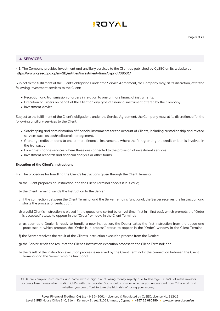### **4. SERVICES**

4.1. The Company provides investment and ancillary services to the Client as published by CySEC on its website at **https://www.cysec.gov.cy/en-GB/entities/investment-firms/cypriot/38531/**

Subject to the fulfillment of the Client's obligations under the Service Agreement, the Company may, at its discretion, offer the following investment services to the Client:

- Reception and transmission of orders in relation to one or more financial instruments:
- Execution of Orders on behalf of the Client on any type of financial instrument offered by the Company.
- Investment Advice

Subject to the fulfillment of the Client's obligations under the Service Agreement, the Company may, at its discretion, offer the following ancillary services to the Client:

- Safekeeping and administration of financial instruments for the account of Clients, including custodianship and related services such as cash/collateral management.
- Granting credits or loans to one or more financial instruments, where the firm granting the credit or loan is involved in the transaction
- Foreign exchange services where these are connected to the provision of investment services
- Investment research and financial analysis or other forms

#### **Execution of the Client's Instructions**

- 4.2. The procedure for handling the Client's Instructions given through the Client Terminal:
	- a) the Client prepares an Instruction and the Client Terminal checks if it is valid;
	- b) the Client Terminal sends the Instruction to the Server.
	- c) if the connection between the Client Terminal and the Server remains functional, the Server receives the Instruction and starts the process of verification.
	- d) a valid Client's Instruction is placed in the queue and sorted by arrival time (first in first out), which prompts the "Order is accepted" status to appear in the "Order" window in the Client Terminal;
	- e) as soon as a Dealer is ready to handle a new Instruction, the Dealer takes the first Instruction from the queue and processes it, which prompts the "Order is in process" status to appear in the "Order" window in the Client Terminal;
	- f) the Server receives the result of the Client's Instruction execution process from the Dealer;
	- g) the Server sends the result of the Client's Instruction execution process to the Client Terminal; and
	- h) the result of the Instruction execution process is received by the Client Terminal if the connection between the Client Terminal and the Server remains functional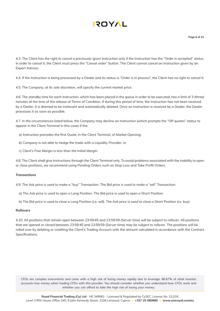4.3. The Client has the right to cancel a previously-given Instruction only if the Instruction has the "Order is accepted" status. In order to cancel it, the Client must press the "Cancel order" button. The Client cannot cancel an Instruction given by an Expert Advisor.

4.4. If the Instruction is being processed by a Dealer and its status is "Order is in process", the Client has no right to cancel it.

4.5. The Company, at its sole discretion, will specify the current market price.

4.6. The standby time for each Instruction, which has been placed in the queue in order to be executed, has a limit of 3 (three) minutes at the time of the release of Terms of Condition. If during this period of time, the Instruction has not been received by a Dealer, it is deemed to be irrelevant and automatically deleted. Once an Instruction is received by a Dealer, the Dealer processes it as soon as possible.

4.7. In the circumstances listed below, the Company may decline an Instruction (which prompts the "Off quotes" status to appear in the Client Terminal in this case) if the:

- a) Instruction precedes the first Quote, in the Client Terminal, of Market Opening;
- b) Company is not able to hedge the trade with a Liquidity Provider; or
- c) Client's Free Margin is less than the Initial Margin.

4.8. The Client shall give Instructions through the Client Terminal only. To avoid problems associated with the inability to open or close positions, we recommend using Pending Orders such as Stop Loss and Take Profit Orders.

### **Transactions**

4.9. The Ask price is used to make a "buy" Transaction. The Bid price is used to make a "sell" Transaction:

- a) The Ask price is used to open a Long Position. The Bid price is used to open a Short Position.
- b) The Bid price is used to close a Long Position (i.e. sell). The Ask price is used to close a Short Position (i.e. buy)

#### **Rollovers**

4.10. All positions that remain open between 23:59:45 and 23:59:59 (Server time) will be subject to rollover. All positions that are opened or closed between 23:59:45 and 23:59:59 (Server time) may be subject to rollover. The positions will be rolled over by debiting or crediting the Client's Trading Account with the amount calculated in accordance with the Contract Specifications.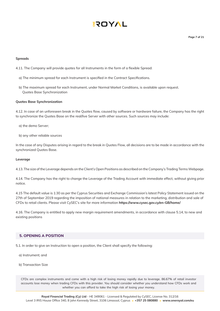**Page 7 of 21**

#### **Spreads**

- 4.11. The Company will provide quotes for all Instruments in the form of a flexible Spread:
	- a) The minimum spread for each Instrument is specified in the Contract Specifications.
	- b) The maximum spread for each Instrument, under Normal Market Conditions, is available upon request. Quotes Base Synchronization

#### **Quotes Base Synchronization**

4.12. In case of an unforeseen break in the Quotes flow, caused by software or hardware failure, the Company has the right to synchronize the Quotes Base on the real/live Server with other sources. Such sources may include:

- a) the demo Server;
- b) any other reliable sources

In the case of any Disputes arising in regard to the break in Quotes Flow, all decisions are to be made in accordance with the synchronized Quotes Base.

#### **Leverage**

4.13. The size of the Leverage depends on the Client's Open Positions as described on the Company's Trading Terms Webpage.

4.14. The Company has the right to change the Leverage of the Trading Account with immediate effect, without giving prior notice.

4.15 The default value is 1:30 as per the Cyprus Securities and Exchange Commission's latest Policy Statement issued on the 27th of September 2019 regarding the imposition of national measures in relation to the marketing, distribution and sale of CFDs to retail clients. Please visit CySEC's site for more information **https://www.cysec.gov.cy/en-GB/home/**

4.16. The Company is entitled to apply new margin requirement amendments, in accordance with clause 5.14, to new and existing positions

### **5. OPENING A POSITION**

- 5.1. In order to give an Instruction to open a position, the Client shall specify the following:
	- a) Instrument; and
	- b) Transaction Size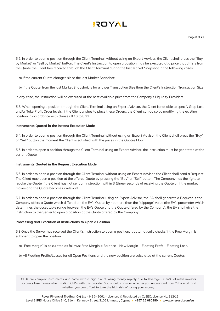# **AYOT!**

5.2. In order to open a position through the Client Terminal, without using an Expert Advisor, the Client shall press the "Buy by Market" or "Sell by Market" button. The Client's Instruction to open a position may be executed at a price that differs from the Quote the Client has received through the Client Terminal during the last Market Snapshot in the following cases:

a) If the current Quote changes since the last Market Snapshot;

b) If the Quote, from the last Market Snapshot, is for a lower Transaction Size than the Client's Instruction Transaction Size.

In any case, the Instruction will be executed at the best available price from the Company's Liquidity Providers.

5.3. When opening a position through the Client Terminal using an Expert Advisor, the Client is not able to specify Stop Loss and/or Take Profit Order levels. If the Client wishes to place these Orders, the Client can do so by modifying the existing position in accordance with clauses 8.16 to 8.22.

### **Instruments Quoted in the Instant Execution Mode**

5.4. In order to open a position through the Client Terminal without using an Expert Advisor, the Client shall press the "Buy" or "Sell" button the moment the Client is satisfied with the prices in the Quotes Flow.

5.5. In order to open a position through the Client Terminal using an Expert Advisor, the Instruction must be generated at the current Quote.

### **Instruments Quoted in the Request Execution Mode**

5.6. In order to open a position through the Client Terminal without using an Expert Advisor, the Client shall send a Request. The Client may open a position at the offered Quote by pressing the "Buy" or "Sell" button. The Company has the right to revoke the Quote if the Client has not sent an Instruction within 3 (three) seconds of receiving the Quote or if the market moves and the Quote becomes irrelevant.

5.7. In order to open a position through the Client Terminal using an Expert Advisor, the EA shall generate a Request. If the Company offers a Quote which differs from the EA's Quote, by not more than the "slippage" value (the EA's parameter which determines the acceptable range between the EA's Quote and the Quote offered by the Company), the EA shall give the Instruction to the Server to open a position at the Quote offered by the Company.

### **Processing and Execution of Instructions to Open a Position**

5.8 Once the Server has received the Client's Instruction to open a position, it automatically checks if the Free Margin is sufficient to open the position:

- a) "Free Margin" is calculated as follows: Free Margin = Balance New Margin + Floating Profit Floating Loss.
- b) All Floating Profits/Losses for all Open Positions and the new position are calculated at the current Quotes.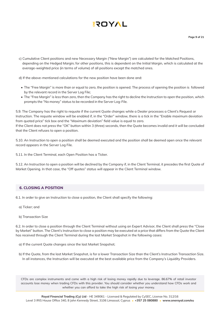c) Cumulative Client positions and new Necessary Margin ("New Margin") are calculated for the Matched Positions, depending on the Hedged Margin; for other positions, this is dependent on the Initial Margin, which is calculated at the average-weighted price (in terms of volume) of all positions except the matched ones.

d) If the above-mentioned calculations for the new position have been done and:

- The "Free Margin" is more than or equal to zero, the position is opened. The process of opening the position is followed by the relevant record in the Server Log File;
- The "Free Margin" is less than zero, then the Company has the right to decline the Instruction to open the position, which prompts the "No money" status to be recorded in the Server Log-File.

5.9. The Company has the right to requote if the current Quote changes while a Dealer processes a Client's Request or Instruction. The requote window will be enabled if, in the "Order" window, there is a tick in the "Enable maximum deviation from quoted price" tick box and the "Maximum deviation" field value is equal to zero. If the Client does not press the "OK" button within 3 (three) seconds, then the Quote becomes invalid and it will be concluded

that the Client refuses to open a position.

5.10. An Instruction to open a position shall be deemed executed and the position shall be deemed open once the relevant record appears in the Server Log File.

5.11. In the Client Terminal, each Open Position has a Ticker.

5.12. An Instruction to open a position will be declined by the Company if, in the Client Terminal, it precedes the first Quote of Market Opening. In that case, the "Off quotes" status will appear in the Client Terminal window.

### **6. CLOSING A POSITION**

6.1. In order to give an Instruction to close a position, the Client shall specify the following:

- a) Ticker; and
- b) Transaction Size

6.2. In order to close a position through the Client Terminal without using an Expert Advisor, the Client shall press the "Close by Market" button. The Client's Instruction to close a position may be executed at a price that differs from the Quote the Client has received through the Client Terminal during the last Market Snapshot in the following cases:

- a) If the current Quote changes since the last Market Snapshot;
- b) If the Quote, from the last Market Snapshot, is for a lower Transaction Size than the Client's Instruction Transaction Size. In all instances, the Instruction will be executed at the best available price from the Company's Liquidity Providers.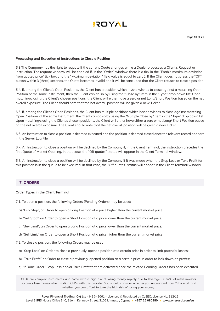

#### **Processing and Execution of Instructions to Close a Position**

6.3 The Company has the right to requote if the current Quote changes while a Dealer processes a Client's Request or Instruction. The requote window will be enabled if, in the "Order" window, there is a tick in the "Enable maximum deviation from quoted price" tick box and the "Maximum deviation" field value is equal to zero5. If the Client does not press the "OK" button within 3 (three) seconds, the Quote becomes invalid and it will be concluded that the Client refuses to close a position.

6.4. If, among the Client's Open Positions, the Client has a position which he/she wishes to close against a matching Open Position of the same Instrument, then the Client can do so by using the "Close by" item in the "Type" drop down list. Upon matching/closing the Client's chosen positions, the Client will either have a zero or net Long/Short Position based on the net overall exposure. The Client should note that the net overall position will be given a new Ticker.

6.5. If, among the Client's Open Positions, the Client has multiple positions which he/she wishes to close against matching Open Positions of the same Instrument, the Client can do so by using the "Multiple Close by" item in the "Type" drop down list. Upon matching/closing the Client's chosen positions, the Client will either have either a zero or net Long/ Short Position based on the net overall exposure. The Client should note that the net overall position will be given a new Ticker.

6.6. An Instruction to close a position is deemed executed and the position is deemed closed once the relevant record appears in the Server Log File.

6.7. An Instruction to close a position will be declined by the Company if, in the Client Terminal, the Instruction precedes the first Quote of Market Opening. In that case, the "Off quotes" status will appear in the Client Terminal window.

6.8. An Instruction to close a position will be declined by the Company if it was made when the Stop Loss or Take Profit for this position is in the queue to be executed. In that case, the "Off quotes" status will appear in the Client Terminal window.

### **7. ORDERS**

#### **Order Types in the Client Terminal**

- 7.1. To open a position, the following Orders (Pending Orders) may be used:
	- a) "Buy Stop", an Order to open a Long Position at a price higher than the current market price
	- b) "Sell Stop", an Order to open a Short Position at a price lower than the current market price;
	- c) "Buy Limit", an Order to open a Long Position at a price lower than the current market price;
	- d) "Sell Limit" an Order to open a Short Position at a price higher than the current market price
- 7.2. To close a position, the following Orders may be used:
	- a) "Stop Loss" an Order to close a previously-opened position at a certain price in order to limit potential losses;
	- b) "Take Profit" an Order to close a previously-opened position at a certain price in order to lock down on profits;
	- c) "If Done Order" Stop Loss and/or Take Profit that are activated once the related Pending Order t has been executed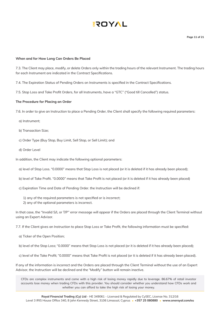

**Page 11 of 21**

#### **When and for How Long Can Orders Be Placed**

7.3. The Client may place, modify, or delete Orders only within the trading hours of the relevant Instrument. The trading hours for each Instrument are indicated in the Contract Specifications.

7.4. The Expiration Status of Pending Orders on Instruments is specified in the Contract Specifications.

7.5. Stop Loss and Take Profit Orders, for all Instruments, have a "GTC" ("Good till Cancelled") status.

### **The Procedure for Placing an Order**

7.6. In order to give an Instruction to place a Pending Order, the Client shall specify the following required parameters:

- a) Instrument;
- b) Transaction Size;
- c) Order Type (Buy Stop, Buy Limit, Sell Stop, or Sell Limit); and
- d) Order Level

In addition, the Client may indicate the following optional parameters:

- a) level of Stop Loss. "0.0000" means that Stop Loss is not placed (or it is deleted if it has already been placed);
- b) level of Take Profit. "0.0000" means that Take Profit is not placed (or it is deleted if it has already been placed)
- c) Expiration Time and Date of Pending Order. the Instruction will be declined if:
	- 1) any of the required parameters is not specified or is incorrect;
	- 2) any of the optional parameters is incorrect.

In that case, the "Invalid S/L or T/P" error message will appear if the Orders are placed through the Client Terminal without using an Expert Advisor.

7.7. If the Client gives an Instruction to place Stop Loss or Take Profit, the following information must be specified:

- a) Ticker of the Open Position;
- b) level of the Stop Loss; "0.0000" means that Stop Loss is not placed (or it is deleted if it has already been placed);
- c) level of the Take Profit; "0.0000" means that Take Profit is not placed (or it is deleted if it has already been placed).

If any of the information is incorrect and the Orders are placed through the Client Terminal without the use of an Expert Advisor, the Instruction will be declined and the "Modify" button will remain inactive.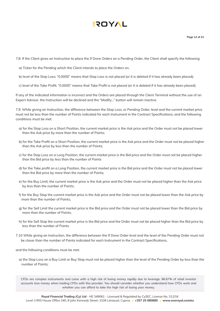7.8. If the Client gives an Instruction to place the If Done Orders on a Pending Order, the Client shall specify the following:

- a) Ticker for the Pending which the Client intends to place the Orders on.
- b) level of the Stop Loss; "0.0000" means that Stop Loss is not placed (or it is deleted if it has already been placed);
- c) level of the Take Profit; "0.0000" means that Take Profit is not placed (or it is deleted if it has already been placed).

If any of the indicated information is incorrect and the Orders are placed through the Client Terminal without the use of an Expert Advisor, the Instruction will be declined and the "Modify…" button will remain inactive.

7.9. While giving an Instruction, the difference between the Stop Loss, or Pending Order, level and the current market price must not be less than the number of Points indicated for each Instrument in the Contract Specifications, and the following conditions must be met:

- a) for the Stop Loss on a Short Position, the current market price is the Ask price and the Order must not be placed lower than the Ask price by more than the number of Points;
- b) for the Take Profit on a Short Position, the current market price is the Ask price and the Order must not be placed higher than the Ask price by less than the number of Points;
- c) for the Stop Loss on a Long Position, the current market price is the Bid price and the Order must not be placed higher than the Bid price by less than the number of Points
- d) for the Take profit on a Long Position, the current market price is the Bid price and the Order must not be placed lower than the Bid price by more than the number of Points;
- e) for the Buy Limit, the current market price is the Ask price and the Order must not be placed higher than the Ask price by less than the number of Points;
- f) for the Buy Stop the current market price is the Ask price and the Order must not be placed lower than the Ask price by more than the number of Points;
- g) for the Sell Limit the current market price is the Bid price and the Order must not be placed lower than the Bid price by more than the number of Points;
- h) for the Sell Stop the current market price is the Bid price and the Order must not be placed higher than the Bid price by less than the number of Points.
- 7.10 While giving an Instruction, the difference between the If Done Order level and the level of the Pending Order must not be closer than the number of Points indicated for each Instrument in the Contract Specifications,
- and the following conditions must be met:
	- a) the Stop Loss on a Buy Limit or Buy Stop must not be placed higher than the level of the Pending Order by less than the number of Points;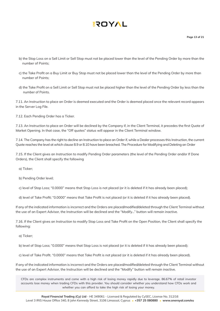- b) the Stop Loss on a Sell Limit or Sell Stop must not be placed lower than the level of the Pending Order by more than the number of Points;
- c) the Take Profit on a Buy Limit or Buy Stop must not be placed lower than the level of the Pending Order by more than number of Points;
- d) the Take Profit on a Sell Limit or Sell Stop must not be placed higher than the level of the Pending Order by less than the number of Points.

7.11. An Instruction to place an Order is deemed executed and the Order is deemed placed once the relevant record appears in the Server Log File.

7.12. Each Pending Order has a Ticker.

7.13. An Instruction to place an Order will be declined by the Company if, in the Client Terminal, it precedes the first Quote of Market Opening. In that case, the "Off quotes" status will appear in the Client Terminal window.

7.14. The Company has the right to decline an Instruction to place an Order if, while a Dealer processes this Instruction, the current Quote reaches the level at which clause 8.9 or 8.10 have been breached. The Procedure for Modifying and Deleting an Order

7.15. If the Client gives an Instruction to modify Pending Order parameters (the level of the Pending Order and/or If Done Orders), the Client shall specify the following

a) Ticker;

b) Pending Order level;

c) level of Stop Loss; "0.0000" means that Stop Loss is not placed (or it is deleted if it has already been placed);

d) level of Take Profit; "0.0000" means that Take Profit is not placed (or it is deleted if it has already been placed).

If any of the indicated information is incorrect and the Orders are placed/modified/deleted through the Client Terminal without the use of an Expert Advisor, the Instruction will be declined and the "Modify…" button will remain inactive.

7.16. If the Client gives an Instruction to modify Stop Loss and Take Profit on the Open Position, the Client shall specify the following:

a) Ticker;

b) level of Stop Loss; "0.0000" means that Stop Loss is not placed (or it is deleted if it has already been placed);

c) level of Take Profit. "0.0000" means that Take Profit is not placed (or it is deleted if it has already been placed).

If any of the indicated information is incorrect and the Orders are placed/modified/deleted through the Client Terminal without the use of an Expert Advisor, the Instruction will be declined and the "Modify" button will remain inactive.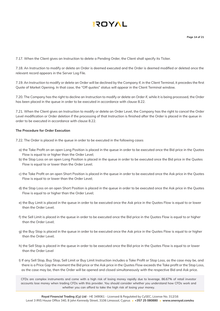7.17. When the Client gives an Instruction to delete a Pending Order, the Client shall specify its Ticker.

7.18. An Instruction to modify or delete an Order is deemed executed and the Order is deemed modified or deleted once the relevant record appears in the Server Log File.

7.19. An Instruction to modify or delete an Order will be declined by the Company if, in the Client Terminal, it precedes the first Quote of Market Opening. In that case, the "Off quotes" status will appear in the Client Terminal window.

7.20. The Company has the right to decline an Instruction to modify or delete an Order if, while it is being processed, the Order has been placed in the queue in order to be executed in accordance with clause 8.22.

7.21. When the Client gives an Instruction to modify or delete an Order Level, the Company has the right to cancel the Order Level modification or Order deletion if the processing of that Instruction is finished after the Order is placed in the queue in order to be executed in accordance with clause 8.22.

### **The Procedure for Order Execution**

7.22. The Order is placed in the queue in order to be executed in the following cases

- a) the Take Profit on an open Long Position is placed in the queue in order to be executed once the Bid price in the Quotes Flow is equal to or higher than the Order Level;
- b) the Stop Loss on an open Long Position is placed in the queue in order to be executed once the Bid price in the Quotes Flow is equal to or lower than the Order Level;
- c) the Take Profit on an open Short Position is placed in the queue in order to be executed once the Ask price in the Quotes Flow is equal to or lower than the Order Level;
- d) the Stop Loss on an open Short Position is placed in the queue in order to be executed once the Ask price in the Quotes Flow is equal to or higher than the Order Level;
- e) the Buy Limit is placed in the queue in order to be executed once the Ask price in the Quotes Flow is equal to or lower than the Order Level;
- f) the Sell Limit is placed in the queue in order to be executed once the Bid price in the Quotes Flow is equal to or higher than the Order Level;
- g) the Buy Stop is placed in the queue in order to be executed once the Ask price in the Quotes Flow is equal to or higher than the Order Level;
- h) the Sell Stop is placed in the queue in order to be executed once the Bid price in the Quotes Flow is equal to or lower than the Order Level
- I) If any Sell Stop, Buy Stop, Sell Limit or Buy Limit Instruction includes a Take Profit or Stop Loss, as the case may be, and there is a Price Gap the moment the Bid price or the Ask price in the Quotes Flow exceeds the Take profit or the Stop Loss, as the case may be, then the Order will be opened and closed simultaneously with the respective Bid and Ask price.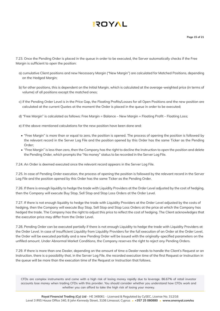7.23. Once the Pending Order is placed in the queue in order to be executed, the Server automatically checks if the Free Margin is sufficient to open the position:

- a) cumulative Client positions and new Necessary Margin ("New Margin") are calculated for Matched Positions, depending on the Hedged Margin;
- b) for other positions, this is dependent on the Initial Margin, which is calculated at the average-weighted price (in terms of volume) of all positions except the matched ones;
- c) if the Pending Order Level is in the Price Gap, the Floating Profits/Losses for all Open Positions and the new position are calculated at the current Quotes at the moment the Order is placed in the queue in order to be executed;
- d) "Free Margin" is calculated as follows: Free Margin = Balance New Margin + Floating Profit Floating Loss;
- e) if the above-mentioned calculations for the new position have been done and:
- "Free Margin" is more than or equal to zero, the position is opened. The process of opening the position is followed by the relevant record in the Server Log File and the position opened by this Order has the same Ticker as the Pending Order;
- "Free Margin" is less than zero, then the Company has the right to decline the Instruction to open the position and delete the Pending Order, which prompts the "No money" status to be recorded in the Server Log File.

7.24. An Order is deemed executed once the relevant record appears in the Server Log File.

7.25. In case of Pending Order execution, the process of opening the position is followed by the relevant record in the Server Log File and the position opened by this Order has the same Ticker as the Pending Order.

7.26. If there is enough liquidity to hedge the trade with Liquidity Providers at the Order Level adjusted by the cost of hedging, then the Company will execute Buy Stop, Sell Stop and Stop Loss Orders at the Order Level.

7.27. If there is not enough liquidity to hedge the trade with Liquidity Providers at the Order Level adjusted by the costs of hedging, then the Company will execute Buy Stop, Sell Stop and Stop Loss Orders at the price at which the Company has hedged the trade. The Company has the right to adjust this price to reflect the cost of hedging. The Client acknowledges that the execution price may differ from the Order Level.

7.28. Pending Order can be executed partially if there is not enough Liquidity to hedge the trade with Liquidity Providers at the Order Level. In case of insufficient Liquidity from Liquidity Providers for the full execution of an Order at the Order Level, the Order will be executed partially and a new Pending Order will be issued with the originally-specified parameters on the unfilled amount. Under Abnormal Market Conditions, the Company reserves the right to reject any Pending Orders.

7.29. If there is more than one Dealer, depending on the amount of time a Dealer needs to handle the Client's Request or an Instruction, there is a possibility that, in the Server Log File, the recorded execution time of the first Request or Instruction in the queue will be more than the execution time of the Request or Instruction that follows.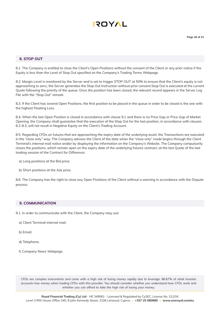

### **8. STOP OUT**

8.1. The Company is entitled to close the Client's Open Positions without the consent of the Client or any prior notice if the Equity is less than the Level of Stop Out specified on the Company's Trading Terms Webpage.

8.2. Margin Level is monitored by the Server and is set to trigger STOP-OUT at 50% to ensure that the Client's equity is not approaching to zero.; the Server generates the Stop Out Instruction without prior consent.Stop Out is executed at the current Quote following the priority of the queue. Once the position has been closed, the relevant record appears in the Server Log File with the "Stop Out" remark.

8.3. If the Client has several Open Positions, the first position to be placed in the queue in order to be closed is the one with the highest Floating Loss.

8.4. When the last Open Position is closed in accordance with clause 9.1 and there is no Price Gap or Price Gap of Market Opening, the Company shall guarantee that the execution of the Stop Out for the last position, in accordance with clauses 8.2-8.3, will not result in Negative Equity on the Client's Trading Account.

8.5. Regarding CFDs on futures that are approaching the expiry date of the underlying asset, the Transactions are executed in the "close only" way. The Company advises the Client of the date when the "close only" mode begins through the Client Terminal's internal mail notice and/or by displaying the information on the Company's Website. The Company compulsorily closes the positions, which remain open on the expiry date of the underlying futures contract, at the last Quote of the last trading session of the Contract for Difference:

- a) Long positions at the Bid price;
- b) Short positions at the Ask price.

8.6. The Company has the right to close any Open Positions of the Client without a warning in accordance with the Dispute process

### **9. COMMUNICATION**

- 9.1. In order to communicate with the Client, the Company may use:
	- a) Client Terminal internal mail;
	- b) Email;
	- d) Telephone;
	- f) Company News Webpage.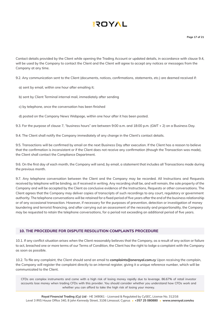Contact details provided by the Client while opening the Trading Account or updated details, in accordance with clause 9.4, will be used by the Company to contact the Client and the Client will agree to accept any notices or messages from the Company at any time.

9.2. Any communication sent to the Client (documents, notices, confirmations, statements, etc.) are deemed received if:

- a) sent by email, within one hour after emailing it;
- b) sent by Client Terminal internal mail, immediately after sending
- c) by telephone, once the conversation has been finished
- d) posted on the Company News Webpage, within one hour after it has been posted.

9.3. For the purpose of clause 7, "business hours" are between 9:00 a.m. and 18:00 p.m. (GMT + 2) on a Business Day.

9.4. The Client shall notify the Company immediately of any change in the Client's contact details.

9.5. Transactions will be confirmed by email on the next Business Day after execution. If the Client has a reason to believe that the confirmation is inconsistent or if the Client does not receive any confirmation (though the Transaction was made), the Client shall contact the Compliance Department.

9.6. On the first day of each month, the Company will send, by email, a statement that includes all Transactions made during the previous month.

9.7. Any telephone conversation between the Client and the Company may be recorded. All Instructions and Requests received by telephone will be binding, as if received in writing. Any recording shall be, and will remain, the sole property of the Company and will be accepted by the Client as conclusive evidence of the Instructions, Requests or other conversations. The Client agrees that the Company may deliver copies of transcripts of such recordings to any court, regulatory or government authority. The telephone conversations will be retained for a fixed period of five years after the end of the business relationship or of any occasional transaction. However, if necessary for the purposes of prevention, detection or investigation of money laundering and terrorist financing, and after carrying out an assessment of the necessity and proportionality, the Company may be requested to retain the telephone conversations, for a period not exceeding an additional period of five years.

### **10. THE PROCEDURE FOR DISPUTE RESOLUTION COMPLAINTS PROCEDURE**

10.1. If any conflict situation arises when the Client reasonably believes that the Company, as a result of any action or failure to act, breached one or more terms of our Terms of Condition, the Client has the right to lodge a complaint with the Company as soon as possible.

10.2. To file any complaint, the Client should send an email to **complaints@oneroyal.com.cy** Upon receiving the complain, the Company will register the complaint directly to an internal register, giving it a unique reference number, which will be communicated to the Client.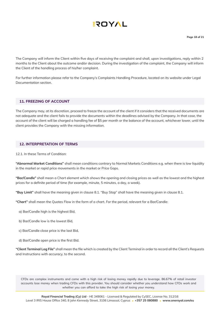The Company will inform the Client within five days of receiving the complaint and shall, upon investigations, reply within 2 months to the Client about the outcome and/or decision. During the investigation of the complaint, the Company will inform the Client of the handling process of his/her complaint.

For further information please refer to the Company's Complaints Handling Procedure, located on its website under Legal Documentation section.

### **11. FREEZING OF ACCOUNT**

The Company may, at its discretion, proceed to freeze the account of the client if it considers that the received documents are not adequate and the client fails to provide the documents within the deadlines advised by the Company. In that case, the account of the client will be charged a handling fee of \$5 per month or the balance of the account, whichever lower, until the client provides the Company with the missing information.

### **12. INTERPRETATION OF TERMS**

12.1. In these Terms of Condition:

**"Abnormal Market Conditions"** shall mean conditions contrary to Normal Markets Conditions e.g. when there is low liquidity in the market or rapid price movements in the market or Price Gaps.

**"Bar/Candle"** shall mean a Chart element which shows the opening and closing prices as well as the lowest and the highest prices for a definite period of time (for example, minute, 5 minutes, a day, a week).

**"Buy Limit"** shall have the meaning given in clause 8.1. "Buy Stop" shall have the meaning given in clause 8.1.

**"Chart"** shall mean the Quotes Flow in the form of a chart. For the period, relevant for a Bar/Candle:

- a) Bar/Candle high is the highest Bid,
- b) Bar/Candle low is the lowest Bid,
- c) Bar/Candle close price is the last Bid,
- d) Bar/Candle open price is the first Bid.

**"Client Terminal Log File"** shall mean the file which is created by the Client Terminal in order to record all the Client's Requests and Instructions with accuracy, to the second.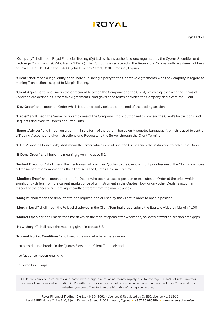

**"Company"** shall mean Royal Financial Trading (Cy) Ltd, which is authorized and regulated by the Cyprus Securities and Exchange Commission (CySEC Reg. - 312/16). The Company is registered in the Republic of Cyprus, with registered address at Level 3 IRIS HOUSE Office 340, 8 John Kennedy Street, 3106 Limassol, Cyprus.

**"Client"** shall mean a legal entity or an individual being a party to the Operative Agreements with the Company in regard to making Transactions, subject to Margin Trading.

**"Client Agreement"** shall mean the agreement between the Company and the Client, which together with the Terms of Condition are defined as "Operative Agreements" and govern the terms on which the Company deals with the Client.

**"Day Order"** shall mean an Order which is automatically deleted at the end of the trading session.

**"Dealer**" shall mean the Server or an employee of the Company who is authorized to process the Client's Instructions and Requests and execute Orders and Stop Outs.

**"Expert Advisor"** shall mean an algorithm in the form of a program, based on Misquotes Language 4, which is used to control a Trading Account and give Instructions and Requests to the Server through the Client Terminal.

**"GTC"** ("Good till Cancelled") shall mean the Order which is valid until the Client sends the Instruction to delete the Order.

**"If Done Order"** shall have the meaning given in clause 8.2.

**"Instant Execution**" shall mean the mechanism of providing Quotes to the Client without prior Request. The Client may make a Transaction at any moment as the Client sees the Quotes Flow in real time.

**"Manifest Error"** shall mean an error of a Dealer who opens/closes a position or executes an Order at the price which significantly differs from the current market price of an Instrument in the Quotes Flow, or any other Dealer's action in respect of the prices which are significantly different from the market prices.

**"Margin"** shall mean the amount of funds required and/or used by the Client in order to open a position.

**"Margin Level"** shall mean the % level displayed in the Client Terminal that displays the Equity divided by Margin \* 100

**"Market Opening"** shall mean the time at which the market opens after weekends, holidays or trading session time gaps.

**"New Margin"** shall have the meaning given in clause 6.8.

**"Normal Market Conditions"** shall mean the market where there are no:

- a) considerable breaks in the Quotes Flow in the Client Terminal; and
- b) fast price movements; and
- c) large Price Gaps.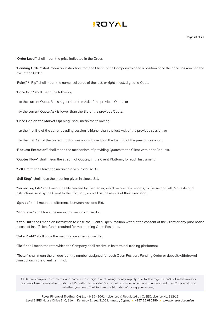**Page 20 of 21**

**"Order Level"** shall mean the price indicated in the Order.

**"Pending Order"** shall mean an instruction from the Client to the Company to open a position once the price has reached the level of the Order.

**"Point" / "Pip"** shall mean the numerical value of the last, or right-most, digit of a Quote

**"Price Gap"** shall mean the following:

a) the current Quote Bid is higher than the Ask of the previous Quote; or

b) the current Quote Ask is lower than the Bid of the previous Quote.

**"Price Gap on the Market Opening"** shall mean the following:

a) the first Bid of the current trading session is higher than the last Ask of the previous session; or

b) the first Ask of the current trading session is lower than the last Bid of the previous session.

**"Request Execution"** shall mean the mechanism of providing Quotes to the Client with prior Request.

**"Quotes Flow"** shall mean the stream of Quotes, in the Client Platform, for each Instrument.

**"Sell Limit"** shall have the meaning given in clause 8.1.

**"Sell Stop"** shall have the meaning given in clause 8.1.

**"Server Log File"** shall mean the file created by the Server, which accurately records, to the second, all Requests and Instructions sent by the Client to the Company as well as the results of their execution.

**"Spread"** shall mean the difference between Ask and Bid.

**"Stop Loss"** shall have the meaning given in clause 8.2.

**"Stop Out"** shall mean an instruction to close the Client's Open Position without the consent of the Client or any prior notice in case of insufficient funds required for maintaining Open Positions.

**"Take Profit"** shall have the meaning given in clause 8.2.

**"Tick"** shall mean the rate which the Company shall receive in its terminal trading platform(s).

**"Ticker"** shall mean the unique identity number assigned for each Open Position, Pending Order or deposit/withdrawal transaction in the Client Terminal.